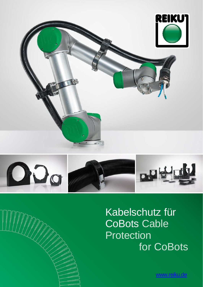



Kabelschutz für CoBots Cable Protection for CoBots

www.reiku.de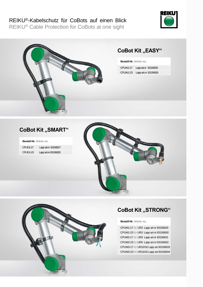# REIKU®-Kabelschutz für CoBots auf einen Blick

REIKU® Cable Protection for CoBots at one sight





# **CoBot Kit ,, SMART"**

**Bestell-Nr. Article no.** 

| CPUD <sub>1</sub> -17 | Lapp art.nr 83156827 |
|-----------------------|----------------------|
| CPUD <sub>1</sub> -23 | Lapp art.nr 83156828 |





## **CoBot Kit "STRONG"**

#### **Bestell-Nr. Article no.**

CPUM1-17 for UR3 Lapp art.nr 83156829 CPUM1-23 for UR3 Lapp art.nr 83156830 CPUM2-17 for UR5 Lapp art.nr 83156831 CPUM2-23 for UR5 Lapp art.nr 83156832 CPUM3-17 for UR10/16 Lapp art 83156833 CPUM3-23 for UR10/16 Lapp art 83156834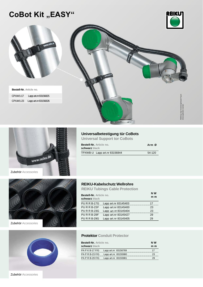# **CoBot Kit "EASY"**





**Bestell-Nr. Article no.**  CPUW1-17 Lapp art.nr 83156825 CPUW1-23 Lapp art.nr 83156826





## **Universalbetestigung tür CoBots**

**Universal Support tor CoBots** 

| <b>Bestell-Nr.</b> Article no.<br>schwarz black | Arm Ø  |
|-------------------------------------------------|--------|
| TPXWB-U Lapp art.nr 83156844                    | 54-120 |



Zubehör Accessories



| Bestell-Nr. Article no.<br>schwarz black |                       | N W<br>m m |
|------------------------------------------|-----------------------|------------|
| <b>PURRB-17G</b>                         | Lapp art.nr 83145403  | 17         |
| <b>PURRB-23F</b>                         | Lapp art.nr 83145400  | 23         |
| <b>PURRB-23G</b>                         | Lapp art.nr 83145404  | 23         |
| <b>PURRB-29F</b>                         | Lapp art.nr 83145427  | 29         |
| <b>PURRB-29G</b>                         | Lapp art. nr 83145405 | 29         |

### **Protektor Conduit Protector**

| <b>Bestell-Nr.</b> Article no. |                      | N W |     |
|--------------------------------|----------------------|-----|-----|
| schwarz black                  |                      |     | m m |
| <b>PA P K B-17 F/G</b>         | Lapp art.nr 83156769 |     | 17  |
| <b>PA P R B-23 F/G</b>         | Lapp art.nr 83155980 |     | 23  |
| <b>PA P R B-29 F/G</b>         | Lapp art.nr 83155981 |     | 29  |

Zubehör Accessories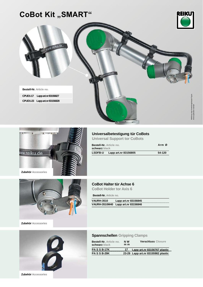# **CoBot Kit ,, SMART"**







## **Universalbetestigung tür CoBots Universal Support tor CoBots**

| <b>Bestell-Nr.</b> Article no.<br>schwarz black |                      | Arm Ø  |
|-------------------------------------------------|----------------------|--------|
| <b>LSDFB-U</b>                                  | Lapp art.nr 83156805 | 54-120 |

### **CoBot Halter tür Achse 6**

**CoBot Holder tor Axis 6** 

**Bestell-Nr. Article no.** 

| <b>VAURH-3510</b> | Lapp art.nr 83156845               |  |
|-------------------|------------------------------------|--|
|                   | VAURH-3510M40 Lapp art.nr 83156846 |  |





#### **Spannschellen Gripping Clamps**

| <b>Bestell-Nr.</b> Article no.<br>schwarz black | N W<br>m m | <b>Verschluss Closure</b>          |
|-------------------------------------------------|------------|------------------------------------|
| <b>PASS B-17K</b>                               | 17         | Lapp art.nr 83156767 plastic       |
| <b>PASS B-29K</b>                               |            | 23-29 Lapp art.nr 83155982 plastic |

**Zubehör Accessories**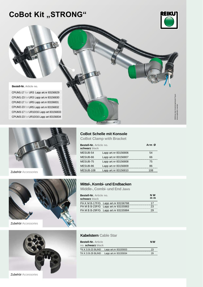# **CoBot Kit "STRONG"**



Abbildung zeigt Anwendungsbeispiel Figure shows application example

sway<br>sway

**Bestell-Nr. Article no.** 

CPUM1-17 for UR3 Lapp art.nr 83156829 CPUM1-23 forUR3 Lapp art.nr 83156830 CPUM2-17 for UR5 Lapp art.nr 83156831 CPUM2-23 forUR5 Lapp art.nr 83156832 CPUM3-17 for UR10/16 Lapp art 83156833 CPUM3-23 forUR10/16 Lapp art 83156834





Zubehör Accessories



## **CoBot Schelle mit Konsole**

**CoBot Clamp with Bracket** 

| Bestell-Nr. Article no.<br>schwarz black |                      | Arm Ø |
|------------------------------------------|----------------------|-------|
| MESUB-54                                 | Lapp art.nr 83156806 | 54    |
| MESUB-66                                 | Lapp art.nr 83156807 | 66    |
| MESUB-75                                 | Lapp art.nr 83156808 | 75    |
| MESUB-86                                 | Lapp art.nr 83156809 | 86    |
| MESUB-108                                | Lapp art.nr 83156810 | 108   |

#### **Mittel-, Kombi- und Endbacken**

**Middle-, Combi- und End Jaws** 

| Bestell-Nr. Article no.<br>schwarz black |                                     | N <sub>W</sub><br>m m |
|------------------------------------------|-------------------------------------|-----------------------|
|                                          | PA K M B-17F/G Lapp art.nr 83156768 | 17                    |
|                                          | PA M B B-23F/G Lapp art.nr 83155983 | 23                    |
|                                          | PA M B B-29F/G Lapp art.nr 83155984 | 29                    |

#### **Kabelstern Cable Star**

| <b>Bestell-Nr.</b> Article<br>no. schwarz black |                      | <b>NW</b> |
|-------------------------------------------------|----------------------|-----------|
| TK K S B-23 BLIND                               | Lapp art.nr 83155933 | 23        |
| TK K S B-29 BLIND                               | Lapp art.nr 83155934 | 29        |